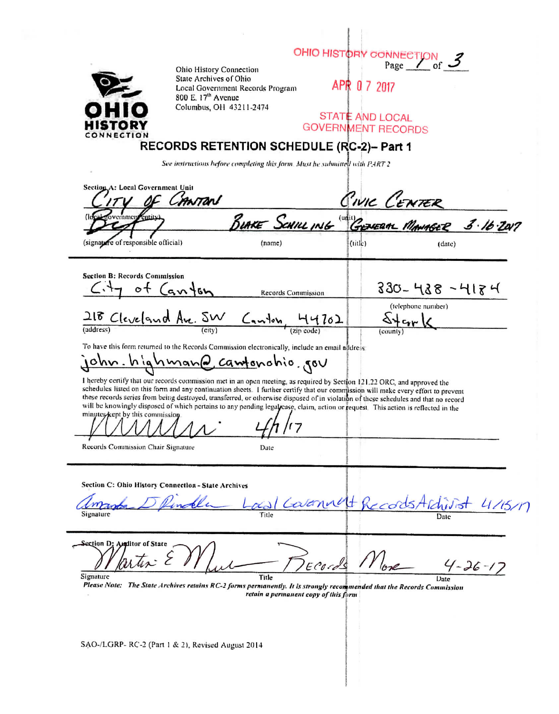| Ohio History Connection                                                                                                                                                                                                                                                                                                                                                                                                                                                                                                                                                        |                                                                             | OHIO HISTORY CONNECTION of 3                                      |               |
|--------------------------------------------------------------------------------------------------------------------------------------------------------------------------------------------------------------------------------------------------------------------------------------------------------------------------------------------------------------------------------------------------------------------------------------------------------------------------------------------------------------------------------------------------------------------------------|-----------------------------------------------------------------------------|-------------------------------------------------------------------|---------------|
| State Archives of Ohio<br>Local Government Records Program<br>800 E. 17 <sup>th</sup> Avenue                                                                                                                                                                                                                                                                                                                                                                                                                                                                                   |                                                                             | APR 0 7 2017                                                      |               |
| Columbus, OH 43211-2474<br>CONNECTION                                                                                                                                                                                                                                                                                                                                                                                                                                                                                                                                          |                                                                             | <b>STATE AND LOCAL</b><br><b>GOVERNMENT RECORDS</b>               |               |
| RECORDS RETENTION SCHEDULE (RC-2)- Part 1                                                                                                                                                                                                                                                                                                                                                                                                                                                                                                                                      |                                                                             |                                                                   |               |
|                                                                                                                                                                                                                                                                                                                                                                                                                                                                                                                                                                                | See instructions before completing this form. Must he submitted with PART 2 |                                                                   |               |
| Section A: Local Government Unit<br>CANTON                                                                                                                                                                                                                                                                                                                                                                                                                                                                                                                                     |                                                                             |                                                                   |               |
| rnment<br><b>Tentity</b>                                                                                                                                                                                                                                                                                                                                                                                                                                                                                                                                                       |                                                                             | <u>CIVIC CENTER</u><br>BURKE SCHILLING "GENERAL MANAGER 3.16.2017 |               |
| (signapre of responsible official)                                                                                                                                                                                                                                                                                                                                                                                                                                                                                                                                             | (name)                                                                      | (iitle)                                                           | (data)        |
| <b>Section B: Records Commission</b>                                                                                                                                                                                                                                                                                                                                                                                                                                                                                                                                           |                                                                             |                                                                   |               |
| $C_{1+7}$ of $(a_{11}+b_{12})$                                                                                                                                                                                                                                                                                                                                                                                                                                                                                                                                                 | Records Commission                                                          | 330- 438 - 418 म                                                  |               |
| $\frac{218 \text{ Cleveland} Ave. 5W}{(city)}$ Canton $\frac{44702}{(city)}$                                                                                                                                                                                                                                                                                                                                                                                                                                                                                                   |                                                                             | (telephone number)<br>$\frac{\Delta + c_{\text{nr}}}{\Delta}$     |               |
| To have this form returned to the Records Commission electronically, include an email address:                                                                                                                                                                                                                                                                                                                                                                                                                                                                                 |                                                                             |                                                                   |               |
| <u>john.hiqhmanQ camto</u> nohio gov                                                                                                                                                                                                                                                                                                                                                                                                                                                                                                                                           |                                                                             |                                                                   |               |
| I hereby certify that our records commission met in an open meeting, as required by Section 121.22 ORC, and approved the<br>schedules listed on this form and any continuation sheets. I further certify that our commission will make every effort to prevent<br>these records series from being destroyed, transferred, or otherwise disposed of in violation of these schedules and that no record<br>will be knowingly disposed of which pertains to any pending legalicase, claim, action or request. This action is reflected in the<br>minutes/kept by this commission. |                                                                             |                                                                   |               |
|                                                                                                                                                                                                                                                                                                                                                                                                                                                                                                                                                                                |                                                                             |                                                                   |               |
| Records Commission Chair Signature                                                                                                                                                                                                                                                                                                                                                                                                                                                                                                                                             | Date                                                                        |                                                                   |               |
| Section C: Ohio History Connection - State Archives                                                                                                                                                                                                                                                                                                                                                                                                                                                                                                                            |                                                                             |                                                                   |               |
| Signature                                                                                                                                                                                                                                                                                                                                                                                                                                                                                                                                                                      | Calennet                                                                    | records Alchi                                                     | 4115/17       |
| Section D: Anditor of State<br>$\eta$ , $\tau$ .<br>Signature                                                                                                                                                                                                                                                                                                                                                                                                                                                                                                                  |                                                                             |                                                                   | $4 - 26 - 17$ |
| Please Note: The State Archives retains RC-2 forms permanently. It is strongly recommended that the Records Commission                                                                                                                                                                                                                                                                                                                                                                                                                                                         | Title<br>retain a permanent copy of this form                               |                                                                   | Date          |
|                                                                                                                                                                                                                                                                                                                                                                                                                                                                                                                                                                                |                                                                             |                                                                   |               |

SAO-/LGRP-RC-2 (Part 1 & 2), Revised August 2014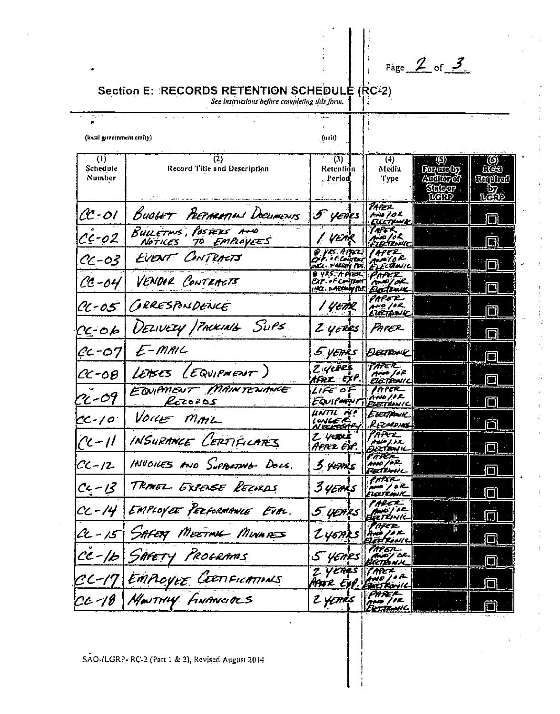Page  $\angle$  of  $\angle$ 

## Section E: RECORDS RETENTION SCHEDULE (RC-2)

See instructions before completing this form.

| (local government entity)                |                                                | . (unit).                                                             |                                                      |                                              |                                 |
|------------------------------------------|------------------------------------------------|-----------------------------------------------------------------------|------------------------------------------------------|----------------------------------------------|---------------------------------|
| $\left\{ \mathbf{1}\right\}$<br>Schedule | (2)<br>Record Title and Description            | (3)<br>Retention                                                      | (4)<br>Media                                         | $\langle \Theta \rangle$<br><b>For welty</b> | (O)<br><b>FOS</b>               |
| Number                                   |                                                | Period)                                                               | Type                                                 | Amiliozof<br>Sidoor .<br><b>MARP</b>         | Gerahat)<br>LD7 .<br><b>LCD</b> |
| CC-01                                    | BUOGET PEEPMANNING DOCUMENTS                   | 5 yenes                                                               | PAPEL<br>AND 102<br>ELECTRONIC                       |                                              |                                 |
| $c - 02$                                 | BULLETINS, POSTERS AND<br>NOTICES TO EMPLOYEES | 1 VETR                                                                | (APGR)<br>30 J o K<br>EIRTENIC                       |                                              | $\Box$                          |
| CC-03                                    | EVENT CONTRACTS                                | $9$ $\mu$ s, $6$ $\mu$ $\mu$ z<br>Pip. + F Constant<br>MCL. PARTY PR. | <b>CAPER</b><br>سم م/ من<br>ELECTIONIC               |                                              | DΙ                              |
| $0 - 04$                                 | VENDOR CONTRACTS                               | 9 YRS. A MER<br>EXT. . F.Confrant<br>Ma. DARAMY POST EXECTENCE        | PAPER<br><b>AMP/AL</b>                               |                                              | m                               |
| CC-05                                    | GRRESPONDENCE                                  | Yetik                                                                 | PAPE R<br>AND IOR<br>:UZTENIC                        |                                              | 门                               |
| $C\epsilon$ -06                          | DELIVERY / PACKING SUPS                        | $Z$ yenes                                                             | Parez                                                |                                              | IT.                             |
| $cc$ -07                                 | E-MAIL                                         | 5 years                                                               | DECTRONE                                             |                                              |                                 |
| $C - 08$                                 | LEASES (EQUIPMENT)                             | 2 YEPEŞ<br>HFRIL EXP                                                  | <b>PAPER</b><br>$A = \sqrt{e^2}$<br><b>ELETRONIC</b> |                                              |                                 |
| $n - 09$                                 | EQUIPMENT MAINTENANCE<br>Rezozos               | LIFE OF<br>EQUIPAQUI                                                  | IAPER_<br>oono I e L<br>EIEITIONI C                  |                                              |                                 |
| $CC$ -10                                 | Vour MAIL                                      | UNTU NI<br>LONGE F.<br>N.BELSON                                       | Evetpork<br>RECOUNT                                  |                                              |                                 |
| $(2c - 1)$                               | INSURANCE CERTIFICATES                         | Z yeper<br>Afrz EXP.                                                  | PARTL<br>' Ada) IR.<br>EXETERNIK                     |                                              | П                               |
| $CC - 12$                                | INVOICES AND SUPPORTNO DOCS.                   | 3 yezh 5                                                              | PARTI-<br>Ario /or<br>FBALWHL                        |                                              |                                 |
| $C - 13$                                 | TRANGL EXIENSE RECORDS                         | 3 years                                                               | <u>forman</u><br>تات / معم <sub>د</sub><br>ELEITANK  |                                              |                                 |
| $CC - 14$                                | EMPLOYEE PERFORMANCE EVAL.                     | 5 yezhes                                                              | THE C.<br>Earbwi                                     |                                              |                                 |
|                                          | CC-15 SAFET MEETING MUNICES                    | 245ARS AND / PR                                                       | PAPET-                                               |                                              | $\Box$                          |
|                                          | ce-1b SAFETY PROGRAMS                          | $5$ yenes                                                             | TAPER<br>Blictha ni M                                |                                              |                                 |
|                                          | CL-17 EMPLOYEE CERTERATIONS                    | 2 YERES TARER<br>Mar Exp.                                             | <b>FART FONIC</b>                                    |                                              |                                 |
|                                          |                                                | 2 years                                                               | <b>PHREK</b><br>$T^{\mu\nu}$ // $F$<br>EKSTRANIL     |                                              |                                 |

SAO-/LGRP- RC-2 (Part 1 & 2), Revised August 2014